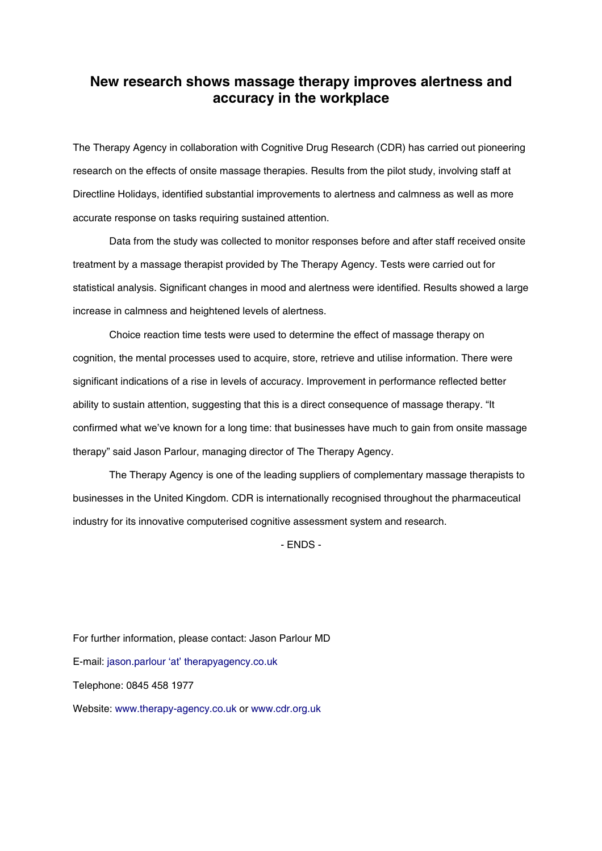# **New research shows massage therapy improves alertness and accuracy in the workplace**

The Therapy Agency in collaboration with Cognitive Drug Research (CDR) has carried out pioneering research on the effects of onsite massage therapies. Results from the pilot study, involving staff at Directline Holidays, identified substantial improvements to alertness and calmness as well as more accurate response on tasks requiring sustained attention.

Data from the study was collected to monitor responses before and after staff received onsite treatment by a massage therapist provided by The Therapy Agency. Tests were carried out for statistical analysis. Significant changes in mood and alertness were identified. Results showed a large increase in calmness and heightened levels of alertness.

Choice reaction time tests were used to determine the effect of massage therapy on cognition, the mental processes used to acquire, store, retrieve and utilise information. There were significant indications of a rise in levels of accuracy. Improvement in performance reflected better ability to sustain attention, suggesting that this is a direct consequence of massage therapy. "It confirmed what we've known for a long time: that businesses have much to gain from onsite massage therapy" said Jason Parlour, managing director of The Therapy Agency.

The Therapy Agency is one of the leading suppliers of complementary massage therapists to businesses in the United Kingdom. CDR is internationally recognised throughout the pharmaceutical industry for its innovative computerised cognitive assessment system and research.

- ENDS -

For further information, please contact: Jason Parlour MD E-mail: jason.parlour 'at' therapyagency.co.uk Telephone: 0845 458 1977 Website: www.therapy-agency.co.uk or www.cdr.org.uk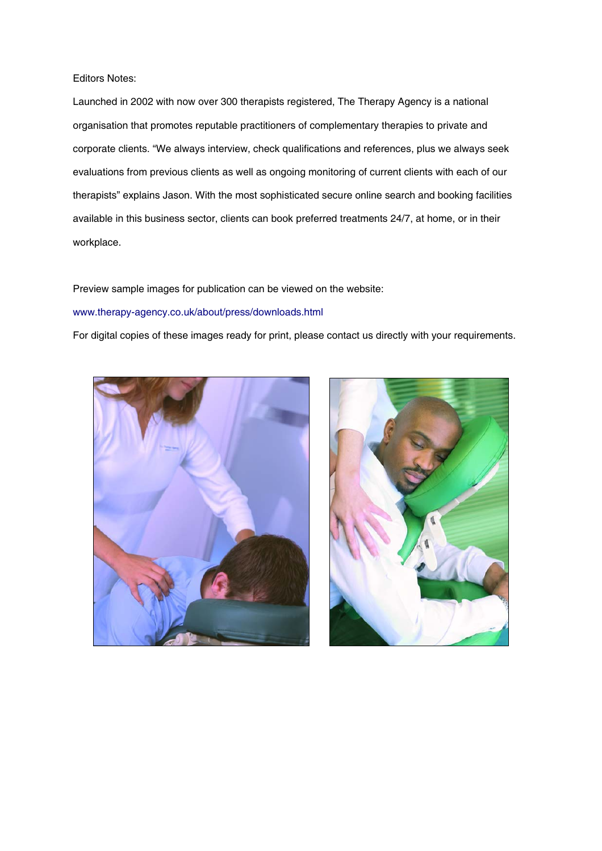### Editors Notes:

Launched in 2002 with now over 300 therapists registered, The Therapy Agency is a national organisation that promotes reputable practitioners of complementary therapies to private and corporate clients. "We always interview, check qualifications and references, plus we always seek evaluations from previous clients as well as ongoing monitoring of current clients with each of our therapists" explains Jason. With the most sophisticated secure online search and booking facilities available in this business sector, clients can book preferred treatments 24/7, at home, or in their workplace.

#### Preview sample images for publication can be viewed on the website:

#### www.therapy-agency.co.uk/about/press/downloads.html

For digital copies of these images ready for print, please contact us directly with your requirements.